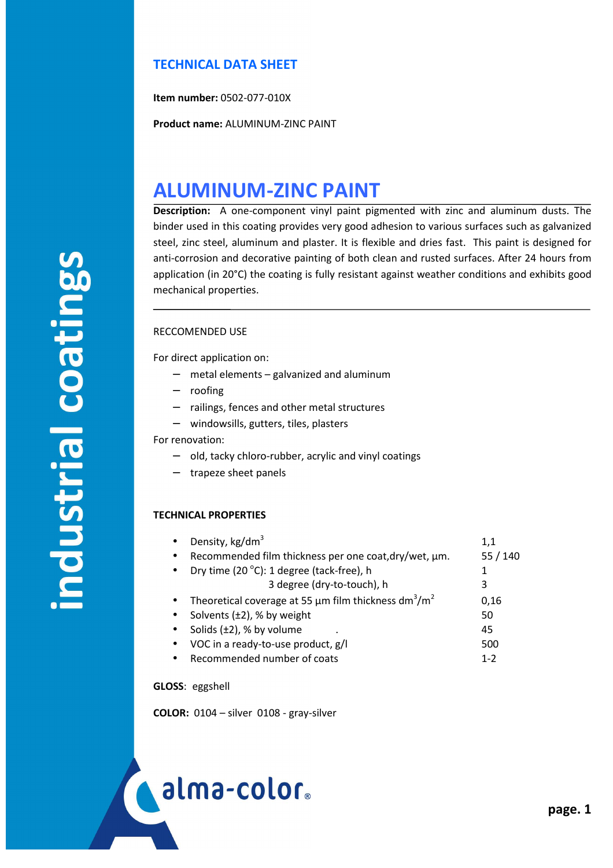## **TECHNICAL DATA SHEET**

**Item number:** 0502-077-010X

**Product name:** ALUMINUM-ZINC PAINT

# **ALUMINUM-ZINC PAINT**

**Description:** A one-component vinyl paint pigmented with zinc and aluminum dusts. The binder used in this coating provides very good adhesion to various surfaces such as galvanized steel, zinc steel, aluminum and plaster. It is flexible and dries fast. This paint is designed for anti-corrosion and decorative painting of both clean and rusted surfaces. After 24 hours from application (in 20°C) the coating is fully resistant against weather conditions and exhibits good mechanical properties.

### RECCOMENDED USE

For direct application on:

- − metal elements galvanized and aluminum
- − roofing
- − railings, fences and other metal structures
- − windowsills, gutters, tiles, plasters

#### For renovation:

- − old, tacky chloro-rubber, acrylic and vinyl coatings
- − trapeze sheet panels

#### **TECHNICAL PROPERTIES**

|           | Density, kg/dm <sup>3</sup>                                                       | 1,1     |
|-----------|-----------------------------------------------------------------------------------|---------|
| $\bullet$ | Recommended film thickness per one coat, dry/wet, µm.                             | 55/140  |
| $\bullet$ | Dry time (20 °C): 1 degree (tack-free), h                                         | 1       |
|           | 3 degree (dry-to-touch), h                                                        | 3       |
| $\bullet$ | Theoretical coverage at 55 $\mu$ m film thickness dm <sup>3</sup> /m <sup>2</sup> | 0,16    |
| $\bullet$ | Solvents $(\pm 2)$ , % by weight                                                  | 50      |
| $\bullet$ | Solids $(\pm 2)$ , % by volume                                                    | 45      |
|           | VOC in a ready-to-use product, g/l                                                | 500     |
|           | Recommended number of coats                                                       | $1 - 2$ |

**GLOSS**: eggshell

í

**COLOR:** 0104 – silver 0108 - gray-silver

alma-color.